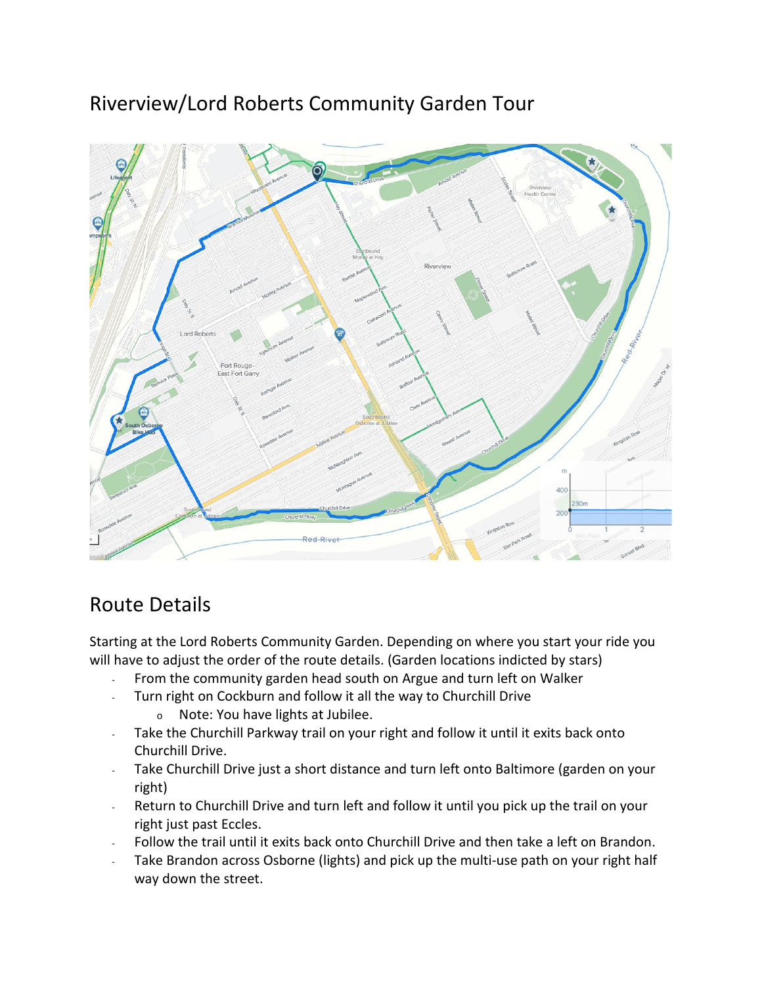## Riverview/Lord Roberts Community Garden Tour



## Route Details

Starting at the Lord Roberts Community Garden. Depending on where you start your ride you will have to adjust the order of the route details. (Garden locations indicted by stars)

- From the community garden head south on Argue and turn left on Walker
- Turn right on Cockburn and follow it all the way to Churchill Drive
	- <sup>o</sup> Note: You have lights at Jubilee.
- Take the Churchill Parkway trail on your right and follow it until it exits back onto Churchill Drive.
- Take Churchill Drive just a short distance and turn left onto Baltimore (garden on your right)
- Return to Churchill Drive and turn left and follow it until you pick up the trail on your right just past Eccles.
- Follow the trail until it exits back onto Churchill Drive and then take a left on Brandon.
- Take Brandon across Osborne (lights) and pick up the multi-use path on your right half way down the street.